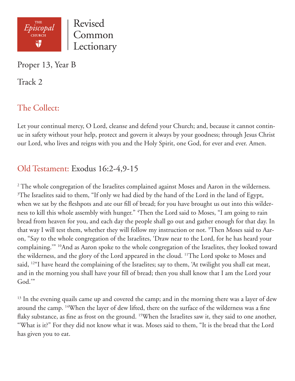

Proper 13, Year B

Track 2

# The Collect:

Let your continual mercy, O Lord, cleanse and defend your Church; and, because it cannot continue in safety without your help, protect and govern it always by your goodness; through Jesus Christ our Lord, who lives and reigns with you and the Holy Spirit, one God, for ever and ever. Amen.

## Old Testament: Exodus 16:2-4,9-15

<sup>2</sup> The whole congregation of the Israelites complained against Moses and Aaron in the wilderness.  $3$ The Israelites said to them, "If only we had died by the hand of the Lord in the land of Egypt, when we sat by the fleshpots and ate our fill of bread; for you have brought us out into this wilderness to kill this whole assembly with hunger." 4 Then the Lord said to Moses, "I am going to rain bread from heaven for you, and each day the people shall go out and gather enough for that day. In that way I will test them, whether they will follow my instruction or not. <sup>9</sup>Then Moses said to Aaron, "Say to the whole congregation of the Israelites, 'Draw near to the Lord, for he has heard your complaining.'" 10And as Aaron spoke to the whole congregation of the Israelites, they looked toward the wilderness, and the glory of the Lord appeared in the cloud. 11The Lord spoke to Moses and said, <sup>12"</sup>I have heard the complaining of the Israelites; say to them, 'At twilight you shall eat meat, and in the morning you shall have your fill of bread; then you shall know that I am the Lord your God.'"

<sup>13</sup> In the evening quails came up and covered the camp; and in the morning there was a layer of dew around the camp. <sup>14</sup>When the layer of dew lifted, there on the surface of the wilderness was a fine flaky substance, as fine as frost on the ground. <sup>15</sup>When the Israelites saw it, they said to one another, "What is it?" For they did not know what it was. Moses said to them, "It is the bread that the Lord has given you to eat.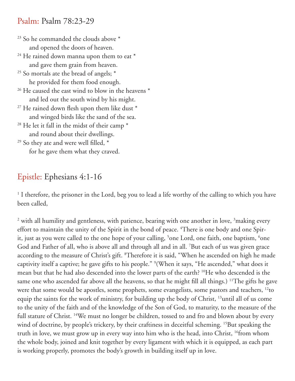#### Psalm: Psalm 78:23-29

<sup>23</sup> So he commanded the clouds above \* and opened the doors of heaven.

- $24$  He rained down manna upon them to eat  $*$ and gave them grain from heaven.
- $25$  So mortals ate the bread of angels;  $*$ he provided for them food enough.
- $26$  He caused the east wind to blow in the heavens  $*$ and led out the south wind by his might.
- $27$  He rained down flesh upon them like dust  $*$ and winged birds like the sand of the sea.
- $28$  He let it fall in the midst of their camp  $*$ and round about their dwellings.
- $29$  So they ate and were well filled,  $*$ for he gave them what they craved.

## Epistle: Ephesians 4:1-16

<sup>1</sup> I therefore, the prisoner in the Lord, beg you to lead a life worthy of the calling to which you have been called,

<sup>2</sup> with all humility and gentleness, with patience, bearing with one another in love, <sup>3</sup>making every effort to maintain the unity of the Spirit in the bond of peace. <sup>4</sup>There is one body and one Spirit, just as you were called to the one hope of your calling, <sup>5</sup>one Lord, one faith, one baptism, <sup>6</sup>one God and Father of all, who is above all and through all and in all. 7 But each of us was given grace according to the measure of Christ's gift. <sup>8</sup>Therefore it is said, "When he ascended on high he made captivity itself a captive; he gave gifts to his people." 9 (When it says, "He ascended," what does it mean but that he had also descended into the lower parts of the earth? 10He who descended is the same one who ascended far above all the heavens, so that he might fill all things.) <sup>11</sup>The gifts he gave were that some would be apostles, some prophets, some evangelists, some pastors and teachers, <sup>12</sup>to equip the saints for the work of ministry, for building up the body of Christ, 13until all of us come to the unity of the faith and of the knowledge of the Son of God, to maturity, to the measure of the full stature of Christ. <sup>14</sup>We must no longer be children, tossed to and fro and blown about by every wind of doctrine, by people's trickery, by their craftiness in deceitful scheming. <sup>15</sup>But speaking the truth in love, we must grow up in every way into him who is the head, into Christ, 16from whom the whole body, joined and knit together by every ligament with which it is equipped, as each part is working properly, promotes the body's growth in building itself up in love.